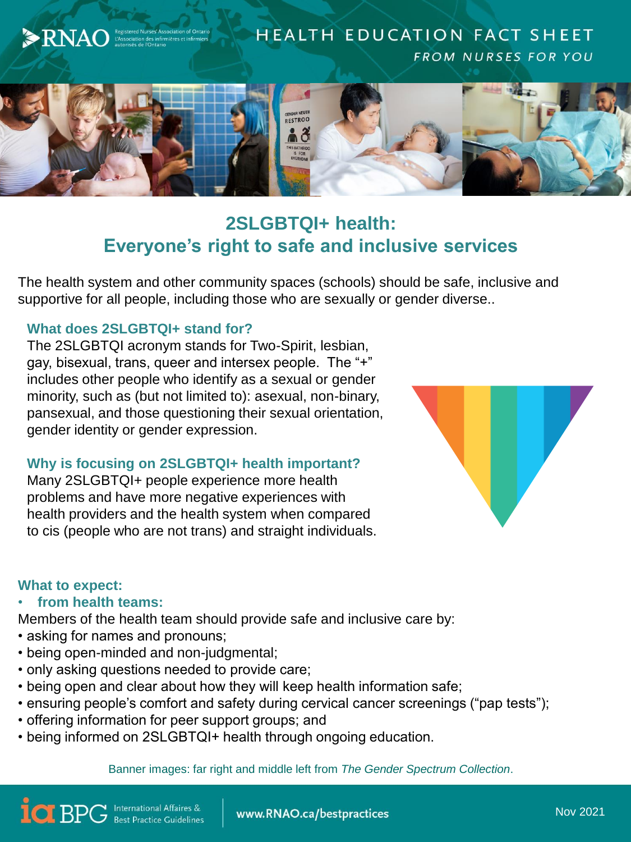

# **2SLGBTQI+ health: Everyone's right to safe and inclusive services**

The health system and other community spaces (schools) should be safe, inclusive and supportive for all people, including those who are sexually or gender diverse..

## **What does 2SLGBTQI+ stand for?**

The 2SLGBTQI acronym stands for Two-Spirit, lesbian, gay, bisexual, trans, queer and intersex people. The "+" includes other people who identify as a sexual or gender minority, such as (but not limited to): asexual, non-binary, pansexual, and those questioning their sexual orientation, gender identity or gender expression.

#### **Why is focusing on 2SLGBTQI+ health important?**

Many 2SLGBTQI+ people experience more health problems and have more negative experiences with health providers and the health system when compared to cis (people who are not trans) and straight individuals.



## **What to expect:**

• **from health teams:**

Members of the health team should provide safe and inclusive care by:

- asking for names and pronouns;
- being open-minded and non-judgmental;
- only asking questions needed to provide care;
- being open and clear about how they will keep health information safe;
- ensuring people's comfort and safety during cervical cancer screenings ("pap tests");
- offering information for peer support groups; and
- being informed on 2SLGBTQI+ health through ongoing education.

Banner images: far right and middle left from *The Gender Spectrum Collection*.